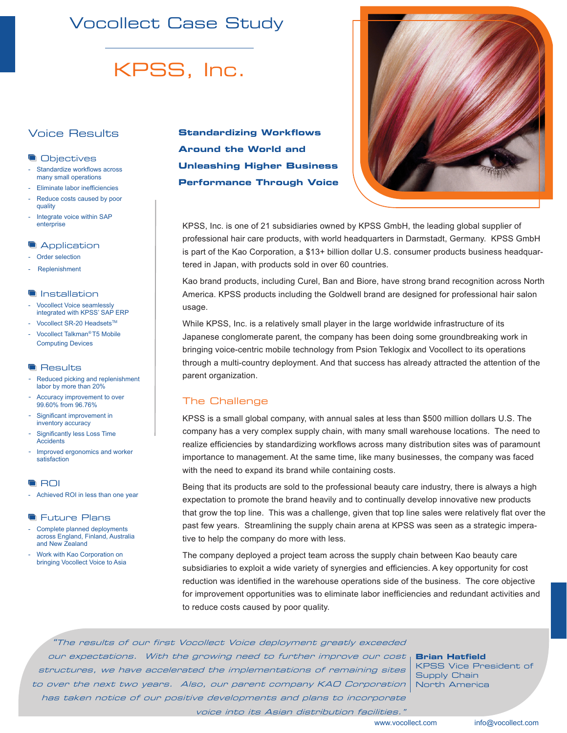# Vocollect Case Study

# KPSS, Inc.

## Voice Results

#### **Objectives**

- Standardize workflows across many small operations
- Eliminate labor inefficiencies
- Reduce costs caused by poor quality
- Integrate voice within SAP enterprise

#### **Application**

- Order selection
- Replenishment

#### **Installation**

- Vocollect Voice seamlessly integrated with KPSS' SAP ERP
- Vocollect SR-20 Headsets™
- Vocollect Talkman*®* T5 Mobile Computing Devices

#### **Results**

- Reduced picking and replenishment labor by more than 20%
- Accuracy improvement to over 99.60% from 96.76%
- Significant improvement in inventory accuracy
- Significantly less Loss Time **Accidents**
- Improved ergonomics and worker satisfaction

#### **ROI**

- Achieved ROI in less than one year

#### **The Future Plans**

- Complete planned deployments across England, Finland, Australia and New Zealand
- Work with Kao Corporation on bringing Vocollect Voice to Asia

**Standardizing Workflows Around the World and Unleashing Higher Business Performance Through Voice**



KPSS, Inc. is one of 21 subsidiaries owned by KPSS GmbH, the leading global supplier of professional hair care products, with world headquarters in Darmstadt, Germany. KPSS GmbH is part of the Kao Corporation, a \$13+ billion dollar U.S. consumer products business headquartered in Japan, with products sold in over 60 countries.

Kao brand products, including Curel, Ban and Biore, have strong brand recognition across North America. KPSS products including the Goldwell brand are designed for professional hair salon usage.

While KPSS, Inc. is a relatively small player in the large worldwide infrastructure of its Japanese conglomerate parent, the company has been doing some groundbreaking work in bringing voice-centric mobile technology from Psion Teklogix and Vocollect to its operations through a multi-country deployment. And that success has already attracted the attention of the parent organization.

### The Challenge

KPSS is a small global company, with annual sales at less than \$500 million dollars U.S. The company has a very complex supply chain, with many small warehouse locations. The need to realize efficiencies by standardizing workflows across many distribution sites was of paramount importance to management. At the same time, like many businesses, the company was faced with the need to expand its brand while containing costs.

Being that its products are sold to the professional beauty care industry, there is always a high expectation to promote the brand heavily and to continually develop innovative new products that grow the top line. This was a challenge, given that top line sales were relatively flat over the past few years. Streamlining the supply chain arena at KPSS was seen as a strategic imperative to help the company do more with less.

The company deployed a project team across the supply chain between Kao beauty care subsidiaries to exploit a wide variety of synergies and efficiencies. A key opportunity for cost reduction was identified in the warehouse operations side of the business. The core objective for improvement opportunities was to eliminate labor inefficiencies and redundant activities and to reduce costs caused by poor quality.

"The results of our first Vocollect Voice deployment greatly exceeded our expectations. With the growing need to further improve our cost **Brian Hatfield** structures, we have accelerated the implementations of remaining sites to over the next two years. Also, our parent company KAO Corporation has taken notice of our positive developments and plans to incorporate voice into its Asian distribution facilities."

KPSS Vice President of Supply Chain North America

www.vocollect.com info@vocollect.com